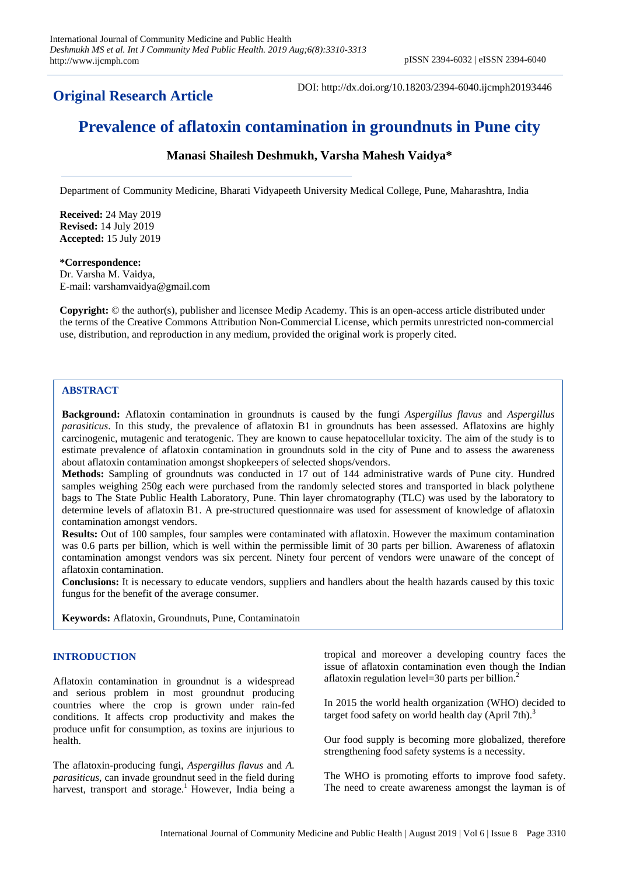## **Original Research Article**

DOI: http://dx.doi.org/10.18203/2394-6040.ijcmph20193446

# **Prevalence of aflatoxin contamination in groundnuts in Pune city**

### **Manasi Shailesh Deshmukh, Varsha Mahesh Vaidya\***

Department of Community Medicine, Bharati Vidyapeeth University Medical College, Pune, Maharashtra, India

**Received:** 24 May 2019 **Revised:** 14 July 2019 **Accepted:** 15 July 2019

## **\*Correspondence:**

Dr. Varsha M. Vaidya, E-mail: varshamvaidya@gmail.com

**Copyright:** © the author(s), publisher and licensee Medip Academy. This is an open-access article distributed under the terms of the Creative Commons Attribution Non-Commercial License, which permits unrestricted non-commercial use, distribution, and reproduction in any medium, provided the original work is properly cited.

#### **ABSTRACT**

**Background:** Aflatoxin contamination in groundnuts is caused by the fungi *Aspergillus flavus* and *Aspergillus parasiticus*. In this study, the prevalence of aflatoxin B1 in groundnuts has been assessed. Aflatoxins are highly carcinogenic, mutagenic and teratogenic. They are known to cause hepatocellular toxicity. The aim of the study is to estimate prevalence of aflatoxin contamination in groundnuts sold in the city of Pune and to assess the awareness about aflatoxin contamination amongst shopkeepers of selected shops/vendors.

**Methods:** Sampling of groundnuts was conducted in 17 out of 144 administrative wards of Pune city. Hundred samples weighing 250g each were purchased from the randomly selected stores and transported in black polythene bags to The State Public Health Laboratory, Pune. Thin layer chromatography (TLC) was used by the laboratory to determine levels of aflatoxin B1. A pre-structured questionnaire was used for assessment of knowledge of aflatoxin contamination amongst vendors.

**Results:** Out of 100 samples, four samples were contaminated with aflatoxin. However the maximum contamination was 0.6 parts per billion, which is well within the permissible limit of 30 parts per billion. Awareness of aflatoxin contamination amongst vendors was six percent. Ninety four percent of vendors were unaware of the concept of aflatoxin contamination.

**Conclusions:** It is necessary to educate vendors, suppliers and handlers about the health hazards caused by this toxic fungus for the benefit of the average consumer.

**Keywords:** Aflatoxin, Groundnuts, Pune, Contaminatoin

#### **INTRODUCTION**

Aflatoxin contamination in groundnut is a widespread and serious problem in most groundnut producing countries where the crop is grown under rain-fed conditions. It affects crop productivity and makes the produce unfit for consumption, as toxins are injurious to health.

The aflatoxin-producing fungi, *Aspergillus flavus* and *A. parasiticus*, can invade groundnut seed in the field during harvest, transport and storage.<sup>1</sup> However, India being a tropical and moreover a developing country faces the issue of aflatoxin contamination even though the Indian aflatoxin regulation level=30 parts per billion. $<sup>2</sup>$ </sup>

In 2015 the world health organization (WHO) decided to target food safety on world health day  $(Apri 7th)<sup>3</sup>$ 

Our food supply is becoming more globalized, therefore strengthening food safety systems is a necessity.

The WHO is promoting efforts to improve food safety. The need to create awareness amongst the layman is of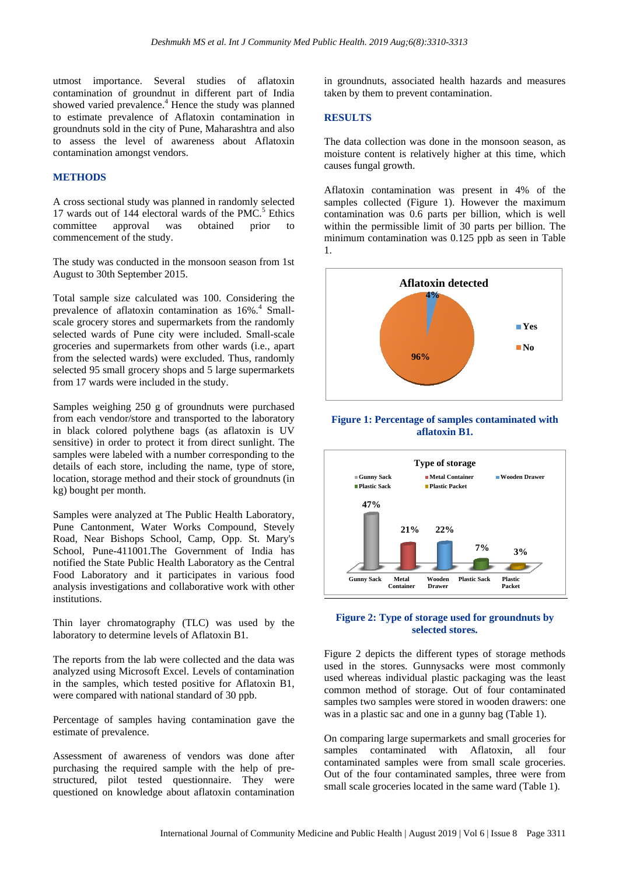utmost importance. Several studies of aflatoxin contamination of groundnut in different part of India showed varied prevalence.<sup>4</sup> Hence the study was planned to estimate prevalence of Aflatoxin contamination in groundnuts sold in the city of Pune, Maharashtra and also to assess the level of awareness about Aflatoxin contamination amongst vendors.

#### **METHODS**

A cross sectional study was planned in randomly selected 17 wards out of 144 electoral wards of the PMC.<sup>5</sup> Ethics committee approval was obtained prior to commencement of the study.

The study was conducted in the monsoon season from 1st August to 30th September 2015.

Total sample size calculated was 100. Considering the prevalence of aflatoxin contamination as 16%.<sup>4</sup> Smallscale grocery stores and supermarkets from the randomly selected wards of Pune city were included. Small-scale groceries and supermarkets from other wards (i.e., apart from the selected wards) were excluded. Thus, randomly selected 95 small grocery shops and 5 large supermarkets from 17 wards were included in the study.

Samples weighing 250 g of groundnuts were purchased from each vendor/store and transported to the laboratory in black colored polythene bags (as aflatoxin is UV sensitive) in order to protect it from direct sunlight. The samples were labeled with a number corresponding to the details of each store, including the name, type of store, location, storage method and their stock of groundnuts (in kg) bought per month.

Samples were analyzed at The Public Health Laboratory, Pune Cantonment, Water Works Compound, Stevely Road, Near Bishops School, Camp, Opp. St. Mary's School, Pune-411001.The Government of India has notified the State Public Health Laboratory as the Central Food Laboratory and it participates in various food analysis investigations and collaborative work with other institutions.

Thin layer chromatography (TLC) was used by the laboratory to determine levels of Aflatoxin B1.

The reports from the lab were collected and the data was analyzed using Microsoft Excel. Levels of contamination in the samples, which tested positive for Aflatoxin B1, were compared with national standard of 30 ppb.

Percentage of samples having contamination gave the estimate of prevalence.

Assessment of awareness of vendors was done after purchasing the required sample with the help of prestructured, pilot tested questionnaire. They were questioned on knowledge about aflatoxin contamination in groundnuts, associated health hazards and measures taken by them to prevent contamination.

#### **RESULTS**

The data collection was done in the monsoon season, as moisture content is relatively higher at this time, which causes fungal growth.

Aflatoxin contamination was present in 4% of the samples collected (Figure 1). However the maximum contamination was 0.6 parts per billion, which is well within the permissible limit of 30 parts per billion. The minimum contamination was 0.125 ppb as seen in Table 1.



#### **Figure 1: Percentage of samples contaminated with aflatoxin B1.**



#### **Figure 2: Type of storage used for groundnuts by selected stores.**

Figure 2 depicts the different types of storage methods used in the stores. Gunnysacks were most commonly used whereas individual plastic packaging was the least common method of storage. Out of four contaminated samples two samples were stored in wooden drawers: one was in a plastic sac and one in a gunny bag (Table 1).

On comparing large supermarkets and small groceries for samples contaminated with Aflatoxin, all four contaminated samples were from small scale groceries. Out of the four contaminated samples, three were from small scale groceries located in the same ward (Table 1).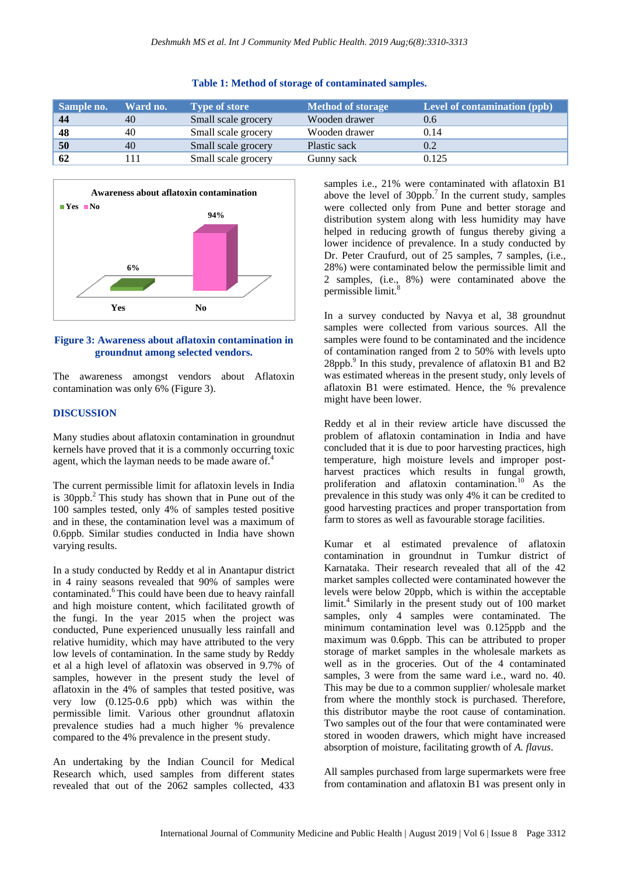| Sample no. | Ward no. | <b>Type of store</b> | <b>Method of storage</b> | Level of contamination (ppb) |
|------------|----------|----------------------|--------------------------|------------------------------|
| -44        | 40       | Small scale grocery  | Wooden drawer            | 0.6                          |
| 48         | 40       | Small scale grocery  | Wooden drawer            | 0.14                         |
| 50         | 40       | Small scale grocery  | Plastic sack             | 0.2                          |
| 62         |          | Small scale grocery  | Gunny sack               | 0.125                        |





#### **Figure 3: Awareness about aflatoxin contamination in groundnut among selected vendors.**

The awareness amongst vendors about Aflatoxin contamination was only 6% (Figure 3).

#### **DISCUSSION**

Many studies about aflatoxin contamination in groundnut kernels have proved that it is a commonly occurring toxic agent, which the layman needs to be made aware of.<sup>4</sup>

The current permissible limit for aflatoxin levels in India is  $30$ ppb.<sup>2</sup> This study has shown that in Pune out of the 100 samples tested, only 4% of samples tested positive and in these, the contamination level was a maximum of 0.6ppb. Similar studies conducted in India have shown varying results.

In a study conducted by Reddy et al in Anantapur district in 4 rainy seasons revealed that 90% of samples were contaminated.<sup>6</sup>This could have been due to heavy rainfall and high moisture content, which facilitated growth of the fungi. In the year 2015 when the project was conducted, Pune experienced unusually less rainfall and relative humidity, which may have attributed to the very low levels of contamination. In the same study by Reddy et al a high level of aflatoxin was observed in 9.7% of samples, however in the present study the level of aflatoxin in the 4% of samples that tested positive, was very low (0.125-0.6 ppb) which was within the permissible limit. Various other groundnut aflatoxin prevalence studies had a much higher % prevalence compared to the 4% prevalence in the present study.

An undertaking by the Indian Council for Medical Research which, used samples from different states revealed that out of the 2062 samples collected, 433 samples i.e., 21% were contaminated with aflatoxin B1 above the level of  $30$ ppb.<sup>7</sup> In the current study, samples were collected only from Pune and better storage and distribution system along with less humidity may have helped in reducing growth of fungus thereby giving a lower incidence of prevalence. In a study conducted by Dr. Peter Craufurd, out of 25 samples, 7 samples, (i.e., 28%) were contaminated below the permissible limit and 2 samples, (i.e., 8%) were contaminated above the permissible limit.<sup>8</sup>

In a survey conducted by Navya et al, 38 groundnut samples were collected from various sources. All the samples were found to be contaminated and the incidence of contamination ranged from 2 to 50% with levels upto 28ppb.<sup>9</sup> In this study, prevalence of aflatoxin B1 and B2 was estimated whereas in the present study, only levels of aflatoxin B1 were estimated. Hence, the % prevalence might have been lower.

Reddy et al in their review article have discussed the problem of aflatoxin contamination in India and have concluded that it is due to poor harvesting practices, high temperature, high moisture levels and improper postharvest practices which results in fungal growth, proliferation and aflatoxin contamination.<sup>10</sup> As the prevalence in this study was only 4% it can be credited to good harvesting practices and proper transportation from farm to stores as well as favourable storage facilities.

Kumar et al estimated prevalence of aflatoxin contamination in groundnut in Tumkur district of Karnataka. Their research revealed that all of the 42 market samples collected were contaminated however the levels were below 20ppb, which is within the acceptable limit.<sup>4</sup> Similarly in the present study out of 100 market samples, only 4 samples were contaminated. The minimum contamination level was 0.125ppb and the maximum was 0.6ppb. This can be attributed to proper storage of market samples in the wholesale markets as well as in the groceries. Out of the 4 contaminated samples, 3 were from the same ward i.e., ward no. 40. This may be due to a common supplier/ wholesale market from where the monthly stock is purchased. Therefore, this distributor maybe the root cause of contamination. Two samples out of the four that were contaminated were stored in wooden drawers, which might have increased absorption of moisture, facilitating growth of *A. flavus*.

All samples purchased from large supermarkets were free from contamination and aflatoxin B1 was present only in